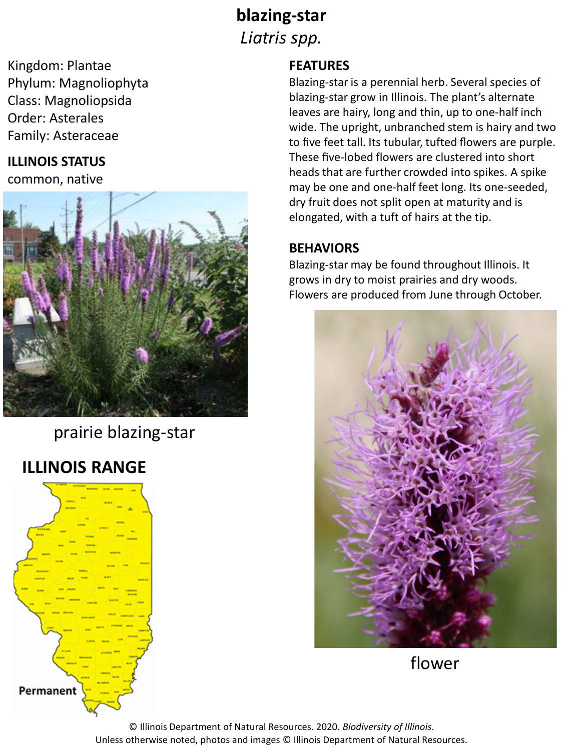# **blazing-star** *Liatris spp.*

Kingdom: Plantae Phylum: Magnoliophyta Class: Magnoliopsida Order: Asterales Family: Asteraceae

### **ILLINOIS STATUS**

common, native



prairie blazing-star

## **ILLINOIS RANGE**



#### **FEATURES**

Blazing-star is a perennial herb. Several species of blazing-star grow in Illinois. The plant's alternate leaves are hairy, long and thin, up to one-half inch wide. The upright, unbranched stem is hairy and two to five feet tall. Its tubular, tufted flowers are purple. These five-lobed flowers are clustered into short heads that are further crowded into spikes. A spike may be one and one-half feet long. Its one-seeded, dry fruit does not split open at maturity and is elongated, with a tuft of hairs at the tip.

#### **BEHAVIORS**

Blazing-star may be found throughout Illinois. It grows in dry to moist prairies and dry woods. Flowers are produced from June through October.



flower

© Illinois Department of Natural Resources. 2020. *Biodiversity of Illinois*. Unless otherwise noted, photos and images © Illinois Department of Natural Resources.